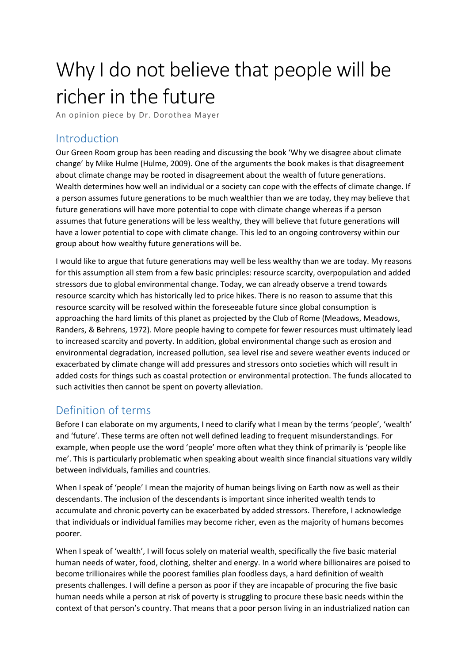# Why I do not believe that people will be richer in the future

An opinion piece by Dr. Dorothea Mayer

## Introduction

Our Green Room group has been reading and discussing the book 'Why we disagree about climate change' by Mike Hulme (Hulme, 2009). One of the arguments the book makes is that disagreement about climate change may be rooted in disagreement about the wealth of future generations. Wealth determines how well an individual or a society can cope with the effects of climate change. If a person assumes future generations to be much wealthier than we are today, they may believe that future generations will have more potential to cope with climate change whereas if a person assumes that future generations will be less wealthy, they will believe that future generations will have a lower potential to cope with climate change. This led to an ongoing controversy within our group about how wealthy future generations will be.

I would like to argue that future generations may well be less wealthy than we are today. My reasons for this assumption all stem from a few basic principles: resource scarcity, overpopulation and added stressors due to global environmental change. Today, we can already observe a trend towards resource scarcity which has historically led to price hikes. There is no reason to assume that this resource scarcity will be resolved within the foreseeable future since global consumption is approaching the hard limits of this planet as projected by the Club of Rome (Meadows, Meadows, Randers, & Behrens, 1972). More people having to compete for fewer resources must ultimately lead to increased scarcity and poverty. In addition, global environmental change such as erosion and environmental degradation, increased pollution, sea level rise and severe weather events induced or exacerbated by climate change will add pressures and stressors onto societies which will result in added costs for things such as coastal protection or environmental protection. The funds allocated to such activities then cannot be spent on poverty alleviation.

# Definition of terms

Before I can elaborate on my arguments, I need to clarify what I mean by the terms 'people', 'wealth' and 'future'. These terms are often not well defined leading to frequent misunderstandings. For example, when people use the word 'people' more often what they think of primarily is 'people like me'. This is particularly problematic when speaking about wealth since financial situations vary wildly between individuals, families and countries.

When I speak of 'people' I mean the majority of human beings living on Earth now as well as their descendants. The inclusion of the descendants is important since inherited wealth tends to accumulate and chronic poverty can be exacerbated by added stressors. Therefore, I acknowledge that individuals or individual families may become richer, even as the majority of humans becomes poorer.

When I speak of 'wealth', I will focus solely on material wealth, specifically the five basic material human needs of water, food, clothing, shelter and energy. In a world where billionaires are poised to become trillionaires while the poorest families plan foodless days, a hard definition of wealth presents challenges. I will define a person as poor if they are incapable of procuring the five basic human needs while a person at risk of poverty is struggling to procure these basic needs within the context of that person's country. That means that a poor person living in an industrialized nation can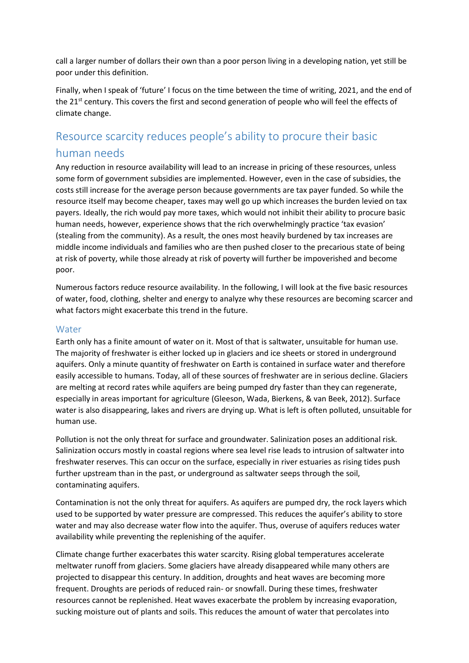call a larger number of dollars their own than a poor person living in a developing nation, yet still be poor under this definition.

Finally, when I speak of 'future' I focus on the time between the time of writing, 2021, and the end of the 21<sup>st</sup> century. This covers the first and second generation of people who will feel the effects of climate change.

# Resource scarcity reduces people's ability to procure their basic human needs

Any reduction in resource availability will lead to an increase in pricing of these resources, unless some form of government subsidies are implemented. However, even in the case of subsidies, the costs still increase for the average person because governments are tax payer funded. So while the resource itself may become cheaper, taxes may well go up which increases the burden levied on tax payers. Ideally, the rich would pay more taxes, which would not inhibit their ability to procure basic human needs, however, experience shows that the rich overwhelmingly practice 'tax evasion' (stealing from the community). As a result, the ones most heavily burdened by tax increases are middle income individuals and families who are then pushed closer to the precarious state of being at risk of poverty, while those already at risk of poverty will further be impoverished and become poor.

Numerous factors reduce resource availability. In the following, I will look at the five basic resources of water, food, clothing, shelter and energy to analyze why these resources are becoming scarcer and what factors might exacerbate this trend in the future.

#### Water

Earth only has a finite amount of water on it. Most of that is saltwater, unsuitable for human use. The majority of freshwater is either locked up in glaciers and ice sheets or stored in underground aquifers. Only a minute quantity of freshwater on Earth is contained in surface water and therefore easily accessible to humans. Today, all of these sources of freshwater are in serious decline. Glaciers are melting at record rates while aquifers are being pumped dry faster than they can regenerate, especially in areas important for agriculture (Gleeson, Wada, Bierkens, & van Beek, 2012). Surface water is also disappearing, lakes and rivers are drying up. What is left is often polluted, unsuitable for human use.

Pollution is not the only threat for surface and groundwater. Salinization poses an additional risk. Salinization occurs mostly in coastal regions where sea level rise leads to intrusion of saltwater into freshwater reserves. This can occur on the surface, especially in river estuaries as rising tides push further upstream than in the past, or underground as saltwater seeps through the soil, contaminating aquifers.

Contamination is not the only threat for aquifers. As aquifers are pumped dry, the rock layers which used to be supported by water pressure are compressed. This reduces the aquifer's ability to store water and may also decrease water flow into the aquifer. Thus, overuse of aquifers reduces water availability while preventing the replenishing of the aquifer.

Climate change further exacerbates this water scarcity. Rising global temperatures accelerate meltwater runoff from glaciers. Some glaciers have already disappeared while many others are projected to disappear this century. In addition, droughts and heat waves are becoming more frequent. Droughts are periods of reduced rain- or snowfall. During these times, freshwater resources cannot be replenished. Heat waves exacerbate the problem by increasing evaporation, sucking moisture out of plants and soils. This reduces the amount of water that percolates into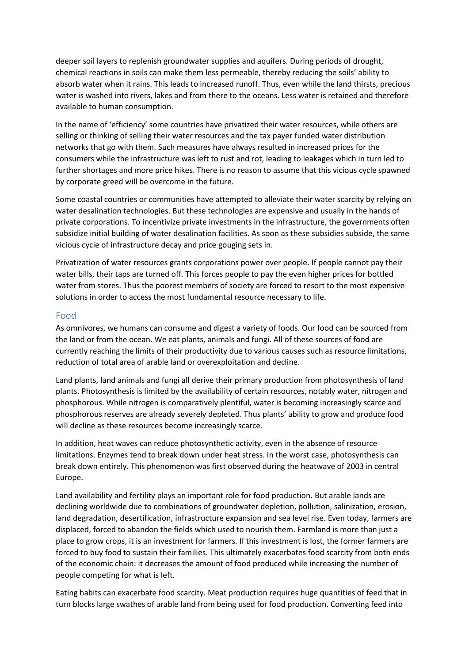deeper soil layers to replenish groundwater supplies and aquifers. During periods of drought, chemical reactions in soils can make them less permeable, thereby reducing the soils' ability to absorb water when it rains. This leads to increased runoff. Thus, even while the land thirsts, precious water is washed into rivers, lakes and from there to the oceans. Less water is retained and therefore available to human consumption.

In the name of 'efficiency' some countries have privatized their water resources, while others are selling or thinking of selling their water resources and the tax payer funded water distribution networks that go with them. Such measures have always resulted in increased prices for the consumers while the infrastructure was left to rust and rot, leading to leakages which in turn led to further shortages and more price hikes. There is no reason to assume that this vicious cycle spawned by corporate greed will be overcome in the future.

Some coastal countries or communities have attempted to alleviate their water scarcity by relying on water desalination technologies. But these technologies are expensive and usually in the hands of private corporations. To incentivize private investments in the infrastructure, the governments often subsidize initial building of water desalination facilities. As soon as these subsidies subside, the same vicious cycle of infrastructure decay and price gouging sets in.

Privatization of water resources grants corporations power over people. If people cannot pay their water bills, their taps are turned off. This forces people to pay the even higher prices for bottled water from stores. Thus the poorest members of society are forced to resort to the most expensive solutions in order to access the most fundamental resource necessary to life.

#### Food

As omnivores, we humans can consume and digest a variety of foods. Our food can be sourced from the land or from the ocean. We eat plants, animals and fungi. All of these sources of food are currently reaching the limits of their productivity due to various causes such as resource limitations, reduction of total area of arable land or overexploitation and decline.

Land plants, land animals and fungi all derive their primary production from photosynthesis of land plants. Photosynthesis is limited by the availability of certain resources, notably water, nitrogen and phosphorous. While nitrogen is comparatively plentiful, water is becoming increasingly scarce and phosphorous reserves are already severely depleted. Thus plants' ability to grow and produce food will decline as these resources become increasingly scarce.

In addition, heat waves can reduce photosynthetic activity, even in the absence of resource limitations. Enzymes tend to break down under heat stress. In the worst case, photosynthesis can break down entirely. This phenomenon was first observed during the heatwave of 2003 in central Europe.

Land availability and fertility plays an important role for food production. But arable lands are declining worldwide due to combinations of groundwater depletion, pollution, salinization, erosion, land degradation, desertification, infrastructure expansion and sea level rise. Even today, farmers are displaced, forced to abandon the fields which used to nourish them. Farmland is more than just a place to grow crops, it is an investment for farmers. If this investment is lost, the former farmers are forced to buy food to sustain their families. This ultimately exacerbates food scarcity from both ends of the economic chain: it decreases the amount of food produced while increasing the number of people competing for what is left.

Eating habits can exacerbate food scarcity. Meat production requires huge quantities of feed that in turn blocks large swathes of arable land from being used for food production. Converting feed into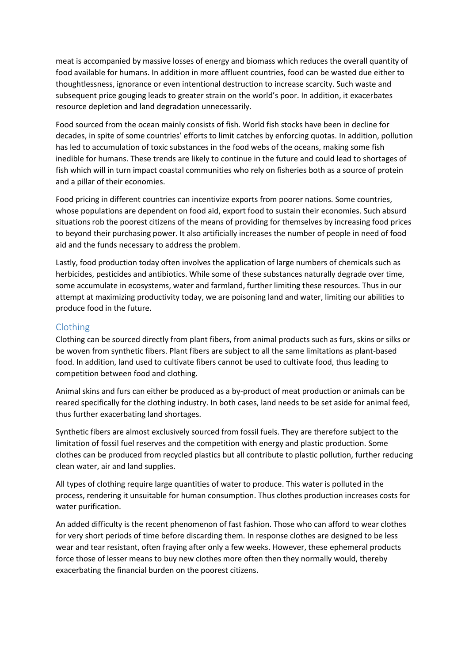meat is accompanied by massive losses of energy and biomass which reduces the overall quantity of food available for humans. In addition in more affluent countries, food can be wasted due either to thoughtlessness, ignorance or even intentional destruction to increase scarcity. Such waste and subsequent price gouging leads to greater strain on the world's poor. In addition, it exacerbates resource depletion and land degradation unnecessarily.

Food sourced from the ocean mainly consists of fish. World fish stocks have been in decline for decades, in spite of some countries' efforts to limit catches by enforcing quotas. In addition, pollution has led to accumulation of toxic substances in the food webs of the oceans, making some fish inedible for humans. These trends are likely to continue in the future and could lead to shortages of fish which will in turn impact coastal communities who rely on fisheries both as a source of protein and a pillar of their economies.

Food pricing in different countries can incentivize exports from poorer nations. Some countries, whose populations are dependent on food aid, export food to sustain their economies. Such absurd situations rob the poorest citizens of the means of providing for themselves by increasing food prices to beyond their purchasing power. It also artificially increases the number of people in need of food aid and the funds necessary to address the problem.

Lastly, food production today often involves the application of large numbers of chemicals such as herbicides, pesticides and antibiotics. While some of these substances naturally degrade over time, some accumulate in ecosystems, water and farmland, further limiting these resources. Thus in our attempt at maximizing productivity today, we are poisoning land and water, limiting our abilities to produce food in the future.

#### Clothing

Clothing can be sourced directly from plant fibers, from animal products such as furs, skins or silks or be woven from synthetic fibers. Plant fibers are subject to all the same limitations as plant-based food. In addition, land used to cultivate fibers cannot be used to cultivate food, thus leading to competition between food and clothing.

Animal skins and furs can either be produced as a by-product of meat production or animals can be reared specifically for the clothing industry. In both cases, land needs to be set aside for animal feed, thus further exacerbating land shortages.

Synthetic fibers are almost exclusively sourced from fossil fuels. They are therefore subject to the limitation of fossil fuel reserves and the competition with energy and plastic production. Some clothes can be produced from recycled plastics but all contribute to plastic pollution, further reducing clean water, air and land supplies.

All types of clothing require large quantities of water to produce. This water is polluted in the process, rendering it unsuitable for human consumption. Thus clothes production increases costs for water purification.

An added difficulty is the recent phenomenon of fast fashion. Those who can afford to wear clothes for very short periods of time before discarding them. In response clothes are designed to be less wear and tear resistant, often fraying after only a few weeks. However, these ephemeral products force those of lesser means to buy new clothes more often then they normally would, thereby exacerbating the financial burden on the poorest citizens.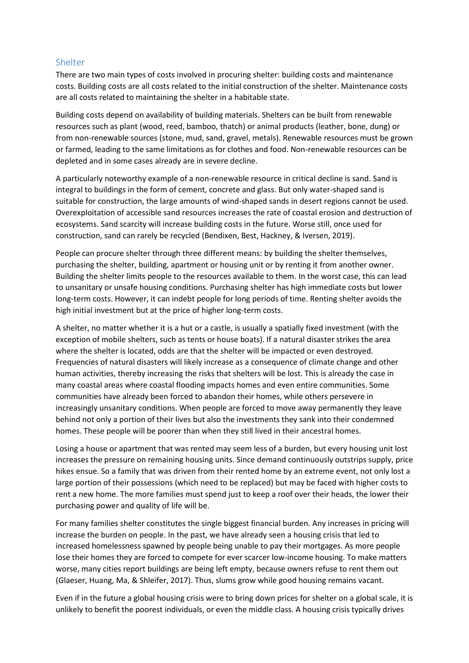#### Shelter

There are two main types of costs involved in procuring shelter: building costs and maintenance costs. Building costs are all costs related to the initial construction of the shelter. Maintenance costs are all costs related to maintaining the shelter in a habitable state.

Building costs depend on availability of building materials. Shelters can be built from renewable resources such as plant (wood, reed, bamboo, thatch) or animal products (leather, bone, dung) or from non-renewable sources (stone, mud, sand, gravel, metals). Renewable resources must be grown or farmed, leading to the same limitations as for clothes and food. Non-renewable resources can be depleted and in some cases already are in severe decline.

A particularly noteworthy example of a non-renewable resource in critical decline is sand. Sand is integral to buildings in the form of cement, concrete and glass. But only water-shaped sand is suitable for construction, the large amounts of wind-shaped sands in desert regions cannot be used. Overexploitation of accessible sand resources increases the rate of coastal erosion and destruction of ecosystems. Sand scarcity will increase building costs in the future. Worse still, once used for construction, sand can rarely be recycled (Bendixen, Best, Hackney, & Iversen, 2019).

People can procure shelter through three different means: by building the shelter themselves, purchasing the shelter, building, apartment or housing unit or by renting it from another owner. Building the shelter limits people to the resources available to them. In the worst case, this can lead to unsanitary or unsafe housing conditions. Purchasing shelter has high immediate costs but lower long-term costs. However, it can indebt people for long periods of time. Renting shelter avoids the high initial investment but at the price of higher long-term costs.

A shelter, no matter whether it is a hut or a castle, is usually a spatially fixed investment (with the exception of mobile shelters, such as tents or house boats). If a natural disaster strikes the area where the shelter is located, odds are that the shelter will be impacted or even destroyed. Frequencies of natural disasters will likely increase as a consequence of climate change and other human activities, thereby increasing the risks that shelters will be lost. This is already the case in many coastal areas where coastal flooding impacts homes and even entire communities. Some communities have already been forced to abandon their homes, while others persevere in increasingly unsanitary conditions. When people are forced to move away permanently they leave behind not only a portion of their lives but also the investments they sank into their condemned homes. These people will be poorer than when they still lived in their ancestral homes.

Losing a house or apartment that was rented may seem less of a burden, but every housing unit lost increases the pressure on remaining housing units. Since demand continuously outstrips supply, price hikes ensue. So a family that was driven from their rented home by an extreme event, not only lost a large portion of their possessions (which need to be replaced) but may be faced with higher costs to rent a new home. The more families must spend just to keep a roof over their heads, the lower their purchasing power and quality of life will be.

For many families shelter constitutes the single biggest financial burden. Any increases in pricing will increase the burden on people. In the past, we have already seen a housing crisis that led to increased homelessness spawned by people being unable to pay their mortgages. As more people lose their homes they are forced to compete for ever scarcer low-income housing. To make matters worse, many cities report buildings are being left empty, because owners refuse to rent them out (Glaeser, Huang, Ma, & Shleifer, 2017). Thus, slums grow while good housing remains vacant.

Even if in the future a global housing crisis were to bring down prices for shelter on a global scale, it is unlikely to benefit the poorest individuals, or even the middle class. A housing crisis typically drives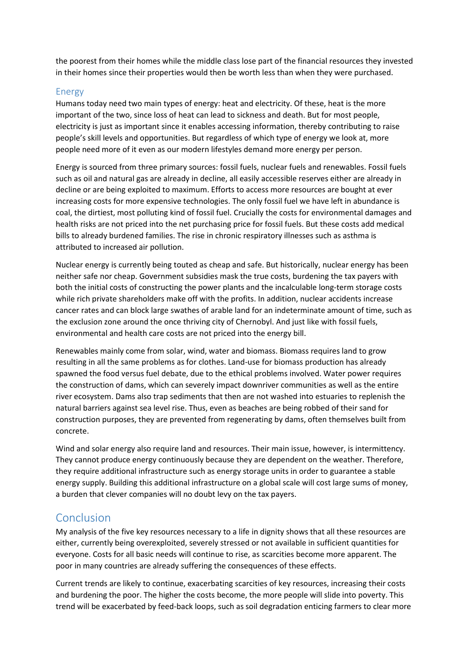the poorest from their homes while the middle class lose part of the financial resources they invested in their homes since their properties would then be worth less than when they were purchased.

#### Energy

Humans today need two main types of energy: heat and electricity. Of these, heat is the more important of the two, since loss of heat can lead to sickness and death. But for most people, electricity is just as important since it enables accessing information, thereby contributing to raise people's skill levels and opportunities. But regardless of which type of energy we look at, more people need more of it even as our modern lifestyles demand more energy per person.

Energy is sourced from three primary sources: fossil fuels, nuclear fuels and renewables. Fossil fuels such as oil and natural gas are already in decline, all easily accessible reserves either are already in decline or are being exploited to maximum. Efforts to access more resources are bought at ever increasing costs for more expensive technologies. The only fossil fuel we have left in abundance is coal, the dirtiest, most polluting kind of fossil fuel. Crucially the costs for environmental damages and health risks are not priced into the net purchasing price for fossil fuels. But these costs add medical bills to already burdened families. The rise in chronic respiratory illnesses such as asthma is attributed to increased air pollution.

Nuclear energy is currently being touted as cheap and safe. But historically, nuclear energy has been neither safe nor cheap. Government subsidies mask the true costs, burdening the tax payers with both the initial costs of constructing the power plants and the incalculable long-term storage costs while rich private shareholders make off with the profits. In addition, nuclear accidents increase cancer rates and can block large swathes of arable land for an indeterminate amount of time, such as the exclusion zone around the once thriving city of Chernobyl. And just like with fossil fuels, environmental and health care costs are not priced into the energy bill.

Renewables mainly come from solar, wind, water and biomass. Biomass requires land to grow resulting in all the same problems as for clothes. Land-use for biomass production has already spawned the food versus fuel debate, due to the ethical problems involved. Water power requires the construction of dams, which can severely impact downriver communities as well as the entire river ecosystem. Dams also trap sediments that then are not washed into estuaries to replenish the natural barriers against sea level rise. Thus, even as beaches are being robbed of their sand for construction purposes, they are prevented from regenerating by dams, often themselves built from concrete.

Wind and solar energy also require land and resources. Their main issue, however, is intermittency. They cannot produce energy continuously because they are dependent on the weather. Therefore, they require additional infrastructure such as energy storage units in order to guarantee a stable energy supply. Building this additional infrastructure on a global scale will cost large sums of money, a burden that clever companies will no doubt levy on the tax payers.

# Conclusion

My analysis of the five key resources necessary to a life in dignity shows that all these resources are either, currently being overexploited, severely stressed or not available in sufficient quantities for everyone. Costs for all basic needs will continue to rise, as scarcities become more apparent. The poor in many countries are already suffering the consequences of these effects.

Current trends are likely to continue, exacerbating scarcities of key resources, increasing their costs and burdening the poor. The higher the costs become, the more people will slide into poverty. This trend will be exacerbated by feed-back loops, such as soil degradation enticing farmers to clear more